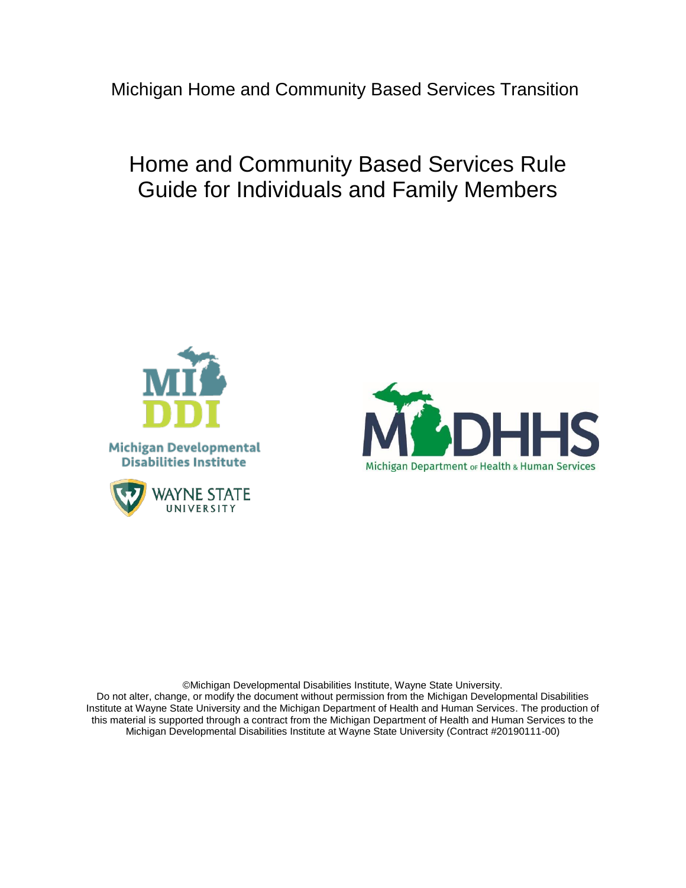Michigan Home and Community Based Services Transition

# Home and Community Based Services Rule Guide for Individuals and Family Members





©Michigan Developmental Disabilities Institute, Wayne State University. Do not alter, change, or modify the document without permission from the Michigan Developmental Disabilities Institute at Wayne State University and the Michigan Department of Health and Human Services. The production of this material is supported through a contract from the Michigan Department of Health and Human Services to the Michigan Developmental Disabilities Institute at Wayne State University (Contract #20190111-00)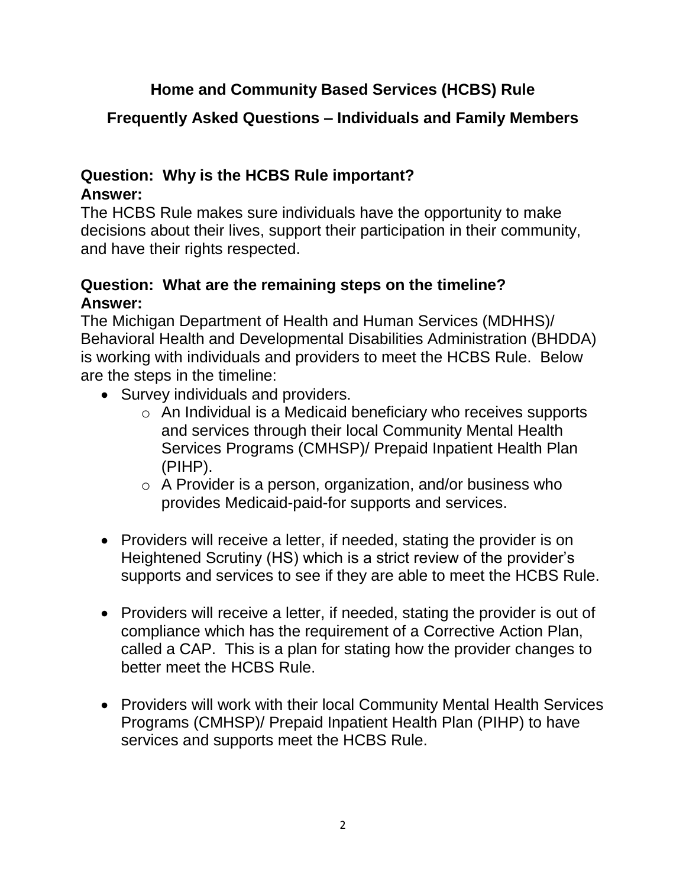# **Home and Community Based Services (HCBS) Rule**

# **Frequently Asked Questions – Individuals and Family Members**

## **Question: Why is the HCBS Rule important? Answer:**

The HCBS Rule makes sure individuals have the opportunity to make decisions about their lives, support their participation in their community, and have their rights respected.

### **Question: What are the remaining steps on the timeline? Answer:**

The Michigan Department of Health and Human Services (MDHHS)/ Behavioral Health and Developmental Disabilities Administration (BHDDA) is working with individuals and providers to meet the HCBS Rule. Below are the steps in the timeline:

- Survey individuals and providers.
	- o An Individual is a Medicaid beneficiary who receives supports and services through their local Community Mental Health Services Programs (CMHSP)/ Prepaid Inpatient Health Plan (PIHP).
	- o A Provider is a person, organization, and/or business who provides Medicaid-paid-for supports and services.
- Providers will receive a letter, if needed, stating the provider is on Heightened Scrutiny (HS) which is a strict review of the provider's supports and services to see if they are able to meet the HCBS Rule.
- Providers will receive a letter, if needed, stating the provider is out of compliance which has the requirement of a Corrective Action Plan, called a CAP. This is a plan for stating how the provider changes to better meet the HCBS Rule.
- Providers will work with their local Community Mental Health Services Programs (CMHSP)/ Prepaid Inpatient Health Plan (PIHP) to have services and supports meet the HCBS Rule.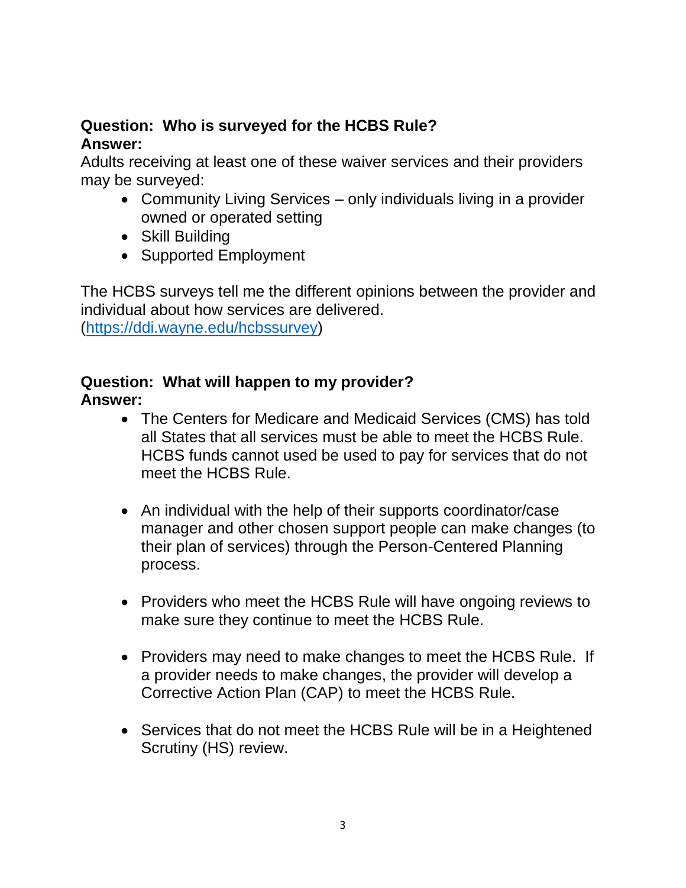### **Question: Who is surveyed for the HCBS Rule? Answer:**

Adults receiving at least one of these waiver services and their providers may be surveyed:

- Community Living Services only individuals living in a provider owned or operated setting
- Skill Building
- Supported Employment

The HCBS surveys tell me the different opinions between the provider and individual about how services are delivered. [\(https://ddi.wayne.edu/hcbssurvey\)](https://ddi.wayne.edu/hcbssurvey)

### **Question: What will happen to my provider? Answer:**

- The Centers for Medicare and Medicaid Services (CMS) has told all States that all services must be able to meet the HCBS Rule. HCBS funds cannot used be used to pay for services that do not meet the HCBS Rule.
- An individual with the help of their supports coordinator/case manager and other chosen support people can make changes (to their plan of services) through the Person-Centered Planning process.
- Providers who meet the HCBS Rule will have ongoing reviews to make sure they continue to meet the HCBS Rule.
- Providers may need to make changes to meet the HCBS Rule. If a provider needs to make changes, the provider will develop a Corrective Action Plan (CAP) to meet the HCBS Rule.
- Services that do not meet the HCBS Rule will be in a Heightened Scrutiny (HS) review.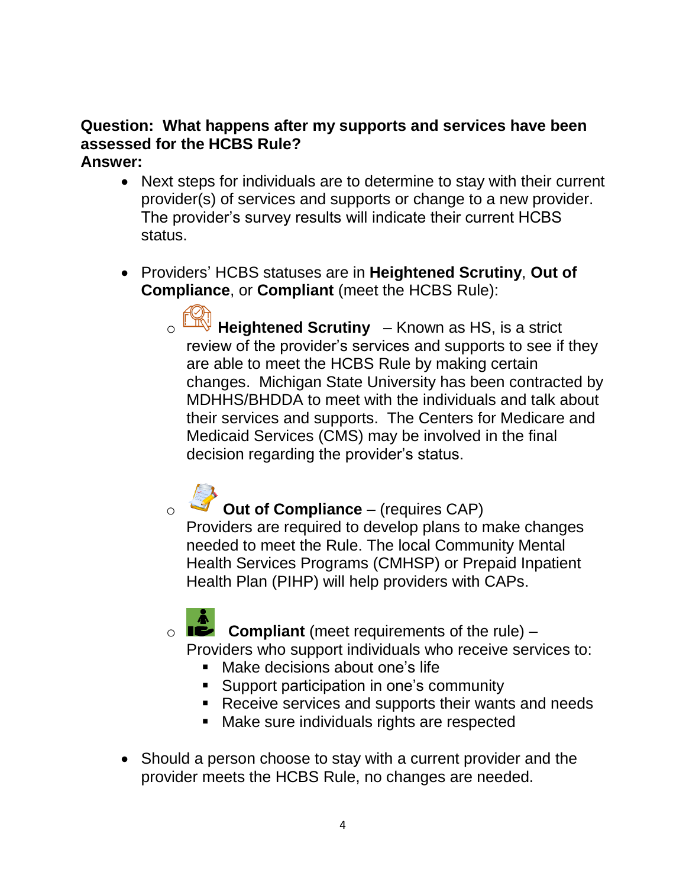#### **Question: What happens after my supports and services have been assessed for the HCBS Rule? Answer:**

- Next steps for individuals are to determine to stay with their current provider(s) of services and supports or change to a new provider. The provider's survey results will indicate their current HCBS status.
- Providers' HCBS statuses are in **Heightened Scrutiny**, **Out of Compliance**, or **Compliant** (meet the HCBS Rule):
	- Heightened Scrutiny Known as HS, is a strict review of the provider's services and supports to see if they are able to meet the HCBS Rule by making certain changes. Michigan State University has been contracted by MDHHS/BHDDA to meet with the individuals and talk about their services and supports. The Centers for Medicare and Medicaid Services (CMS) may be involved in the final decision regarding the provider's status.

**Out of Compliance** – (requires CAP) Providers are required to develop plans to make changes needed to meet the Rule. The local Community Mental Health Services Programs (CMHSP) or Prepaid Inpatient Health Plan (PIHP) will help providers with CAPs.

o **Compliant** (meet requirements of the rule) – Providers who support individuals who receive services to:

- **Make decisions about one's life**
- Support participation in one's community
- Receive services and supports their wants and needs
- Make sure individuals rights are respected
- Should a person choose to stay with a current provider and the provider meets the HCBS Rule, no changes are needed.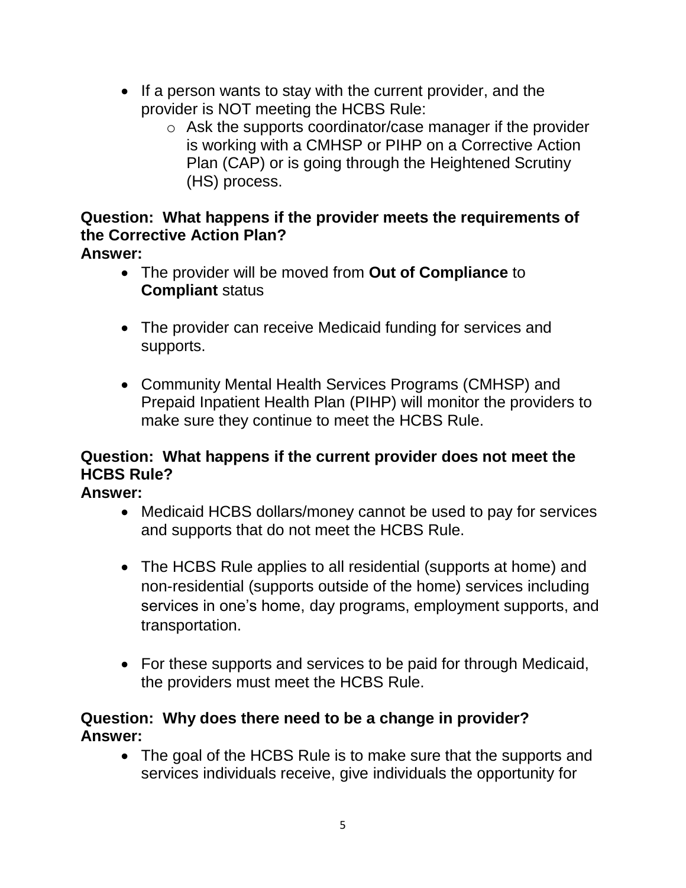- If a person wants to stay with the current provider, and the provider is NOT meeting the HCBS Rule:
	- o Ask the supports coordinator/case manager if the provider is working with a CMHSP or PIHP on a Corrective Action Plan (CAP) or is going through the Heightened Scrutiny (HS) process.

#### **Question: What happens if the provider meets the requirements of the Corrective Action Plan? Answer:**

- The provider will be moved from **Out of Compliance** to **Compliant** status
- The provider can receive Medicaid funding for services and supports.
- Community Mental Health Services Programs (CMHSP) and Prepaid Inpatient Health Plan (PIHP) will monitor the providers to make sure they continue to meet the HCBS Rule.

# **Question: What happens if the current provider does not meet the HCBS Rule?**

**Answer:** 

- Medicaid HCBS dollars/money cannot be used to pay for services and supports that do not meet the HCBS Rule.
- The HCBS Rule applies to all residential (supports at home) and non-residential (supports outside of the home) services including services in one's home, day programs, employment supports, and transportation.
- For these supports and services to be paid for through Medicaid, the providers must meet the HCBS Rule.

### **Question: Why does there need to be a change in provider? Answer:**

• The goal of the HCBS Rule is to make sure that the supports and services individuals receive, give individuals the opportunity for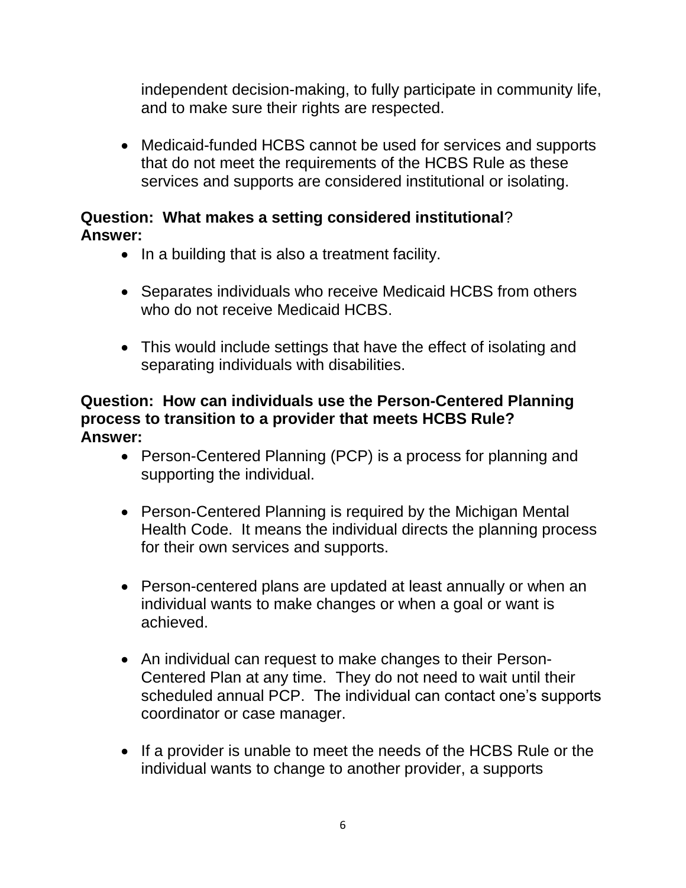independent decision-making, to fully participate in community life, and to make sure their rights are respected.

 Medicaid-funded HCBS cannot be used for services and supports that do not meet the requirements of the HCBS Rule as these services and supports are considered institutional or isolating.

### **Question: What makes a setting considered institutional**? **Answer:**

- In a building that is also a treatment facility.
- Separates individuals who receive Medicaid HCBS from others who do not receive Medicaid HCBS.
- This would include settings that have the effect of isolating and separating individuals with disabilities.

### **Question: How can individuals use the Person-Centered Planning process to transition to a provider that meets HCBS Rule? Answer:**

- Person-Centered Planning (PCP) is a process for planning and supporting the individual.
- Person-Centered Planning is required by the Michigan Mental Health Code. It means the individual directs the planning process for their own services and supports.
- Person-centered plans are updated at least annually or when an individual wants to make changes or when a goal or want is achieved.
- An individual can request to make changes to their Person-Centered Plan at any time. They do not need to wait until their scheduled annual PCP. The individual can contact one's supports coordinator or case manager.
- If a provider is unable to meet the needs of the HCBS Rule or the individual wants to change to another provider, a supports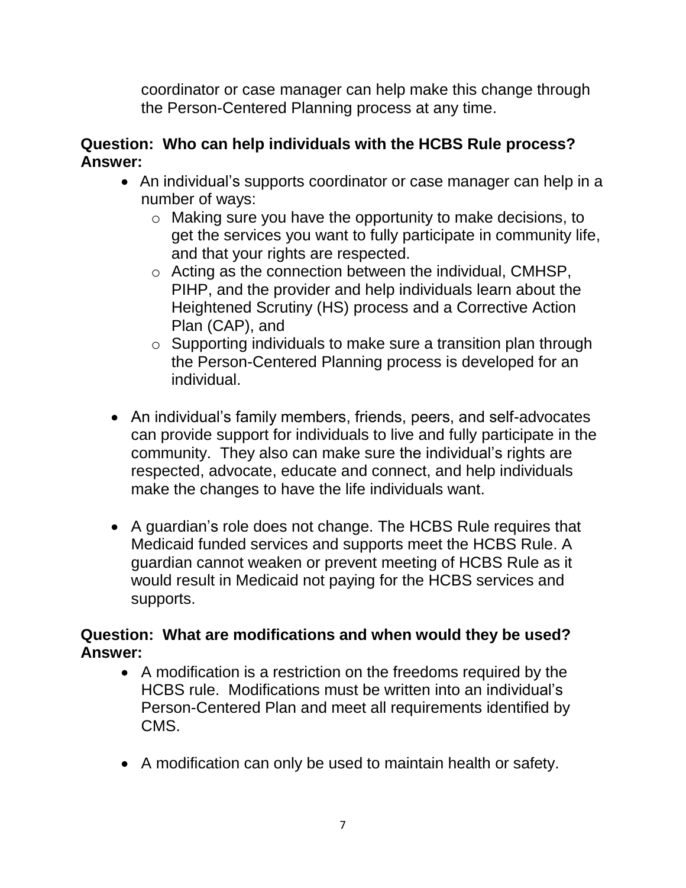coordinator or case manager can help make this change through the Person-Centered Planning process at any time.

### **Question: Who can help individuals with the HCBS Rule process? Answer:**

- An individual's supports coordinator or case manager can help in a number of ways:
	- o Making sure you have the opportunity to make decisions, to get the services you want to fully participate in community life, and that your rights are respected.
	- o Acting as the connection between the individual, CMHSP, PIHP, and the provider and help individuals learn about the Heightened Scrutiny (HS) process and a Corrective Action Plan (CAP), and
	- o Supporting individuals to make sure a transition plan through the Person-Centered Planning process is developed for an individual.
- An individual's family members, friends, peers, and self-advocates can provide support for individuals to live and fully participate in the community. They also can make sure the individual's rights are respected, advocate, educate and connect, and help individuals make the changes to have the life individuals want.
- A guardian's role does not change. The HCBS Rule requires that Medicaid funded services and supports meet the HCBS Rule. A guardian cannot weaken or prevent meeting of HCBS Rule as it would result in Medicaid not paying for the HCBS services and supports.

### **Question: What are modifications and when would they be used? Answer:**

- A modification is a restriction on the freedoms required by the HCBS rule. Modifications must be written into an individual's Person-Centered Plan and meet all requirements identified by CMS.
- A modification can only be used to maintain health or safety.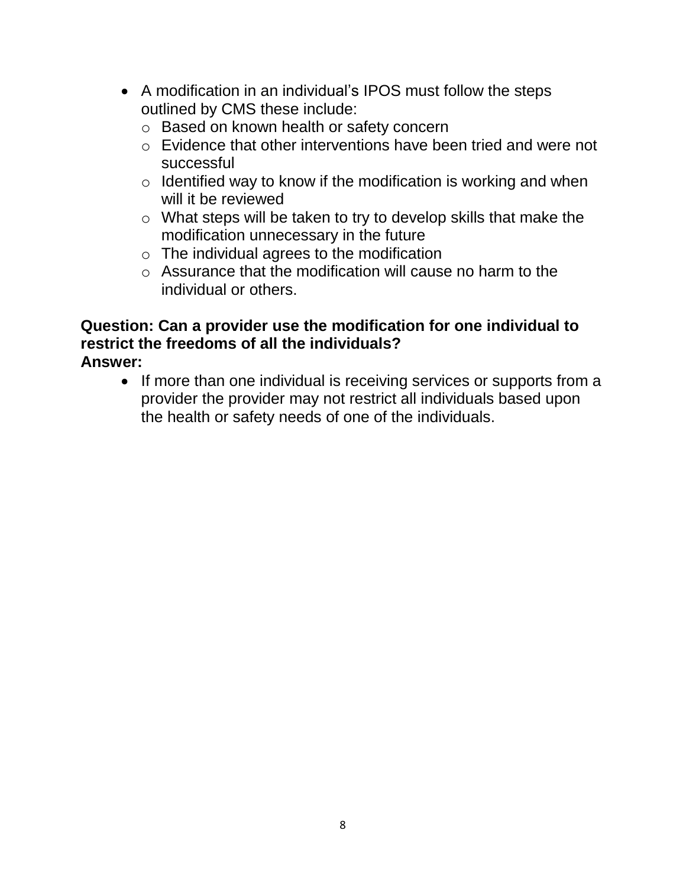- A modification in an individual's IPOS must follow the steps outlined by CMS these include:
	- o Based on known health or safety concern
	- o Evidence that other interventions have been tried and were not successful
	- $\circ$  Identified way to know if the modification is working and when will it be reviewed
	- o What steps will be taken to try to develop skills that make the modification unnecessary in the future
	- $\circ$  The individual agrees to the modification
	- $\circ$  Assurance that the modification will cause no harm to the individual or others.

#### **Question: Can a provider use the modification for one individual to restrict the freedoms of all the individuals? Answer:**

• If more than one individual is receiving services or supports from a provider the provider may not restrict all individuals based upon the health or safety needs of one of the individuals.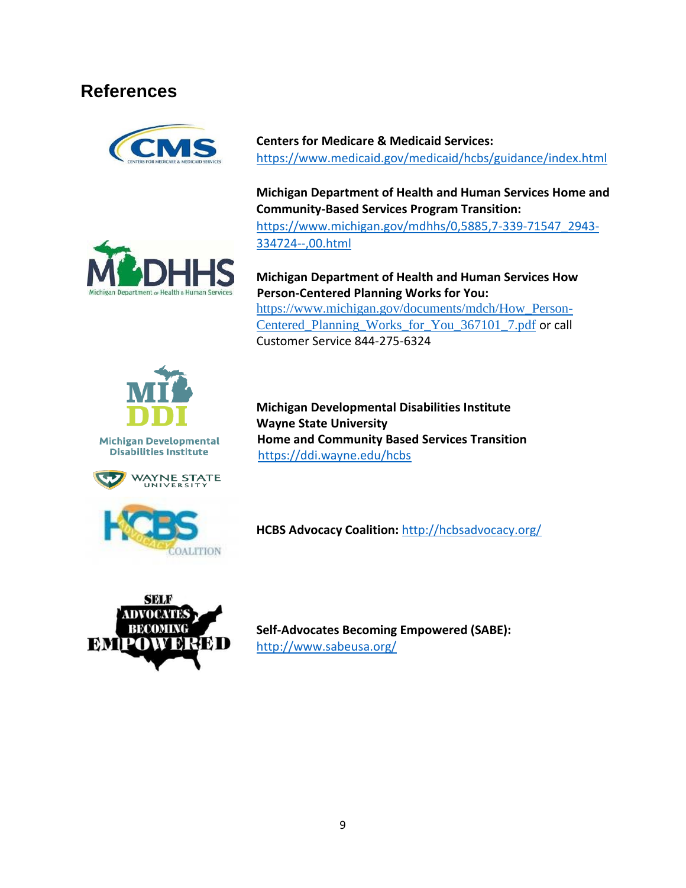# **References**



**Centers for Medicare & Medicaid Services:** <https://www.medicaid.gov/medicaid/hcbs/guidance/index.html>

**Michigan Department of Health and Human Services Home and Community-Based Services Program Transition:** [https://www.michigan.gov/mdhhs/0,5885,7-339-71547\\_2943-](https://www.michigan.gov/mdhhs/0,5885,7-339-71547_2943-334724--,00.html) [334724--,00.html](https://www.michigan.gov/mdhhs/0,5885,7-339-71547_2943-334724--,00.html)



**Michigan Department of Health and Human Services How Person-Centered Planning Works for You:** [https://www.michigan.gov/documents/mdch/How\\_Person-](https://www.michigan.gov/documents/mdch/How_Person-Centered_Planning_Works_for_You_367101_7.pdf)[Centered\\_Planning\\_Works\\_for\\_You\\_367101\\_7.pdf](https://www.michigan.gov/documents/mdch/How_Person-Centered_Planning_Works_for_You_367101_7.pdf) or call Customer Service 844-275-6324



**Michigan Developmental Disabilities Institute** 



**Michigan Developmental Disabilities Institute Wayne State University Home and Community Based Services Transition** <https://ddi.wayne.edu/hcbs>



**HCBS Advocacy Coalition:** <http://hcbsadvocacy.org/>



**Self-Advocates Becoming Empowered (SABE):**  <http://www.sabeusa.org/>